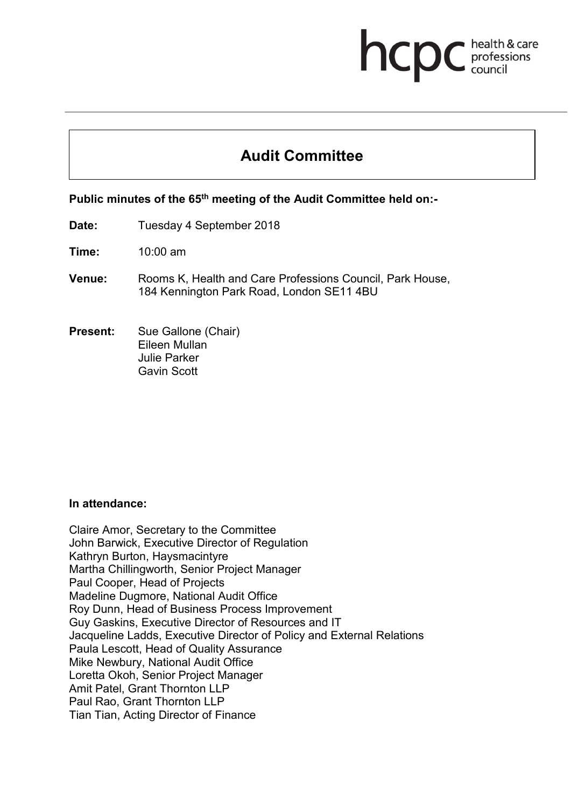# **health & care** health & care

# **Audit Committee**

# **Public minutes of the 65th meeting of the Audit Committee held on:-**

- **Date:** Tuesday 4 September 2018
- **Time:** 10:00 am
- **Venue:** Rooms K, Health and Care Professions Council, Park House, 184 Kennington Park Road, London SE11 4BU
- **Present:** Sue Gallone (Chair) Eileen Mullan Julie Parker Gavin Scott

#### **In attendance:**

Claire Amor, Secretary to the Committee John Barwick, Executive Director of Regulation Kathryn Burton, Haysmacintyre Martha Chillingworth, Senior Project Manager Paul Cooper, Head of Projects Madeline Dugmore, National Audit Office Roy Dunn, Head of Business Process Improvement Guy Gaskins, Executive Director of Resources and IT Jacqueline Ladds, Executive Director of Policy and External Relations Paula Lescott, Head of Quality Assurance Mike Newbury, National Audit Office Loretta Okoh, Senior Project Manager Amit Patel, Grant Thornton LLP Paul Rao, Grant Thornton LLP Tian Tian, Acting Director of Finance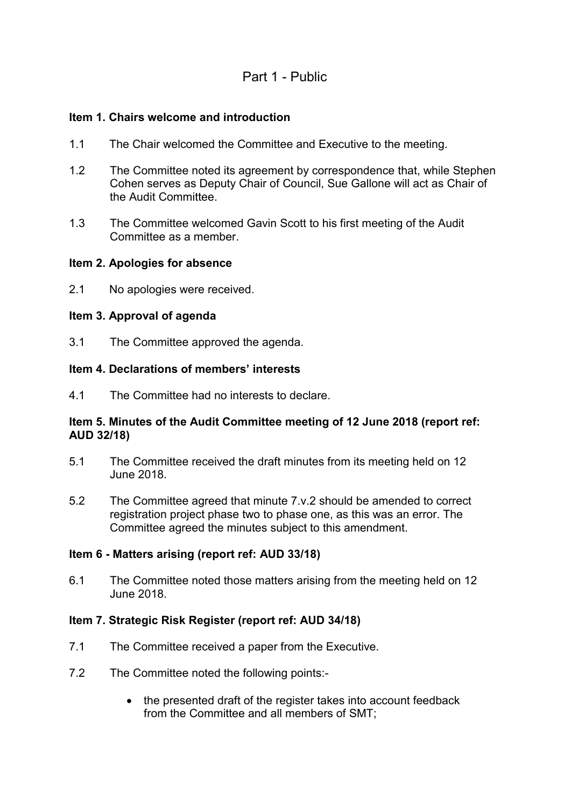# Part 1 - Public

#### **Item 1. Chairs welcome and introduction**

- 1.1 The Chair welcomed the Committee and Executive to the meeting.
- 1.2 The Committee noted its agreement by correspondence that, while Stephen Cohen serves as Deputy Chair of Council, Sue Gallone will act as Chair of the Audit Committee.
- 1.3 The Committee welcomed Gavin Scott to his first meeting of the Audit Committee as a member.

#### **Item 2. Apologies for absence**

2.1 No apologies were received.

#### **Item 3. Approval of agenda**

3.1 The Committee approved the agenda.

#### **Item 4. Declarations of members' interests**

4.1 The Committee had no interests to declare.

#### **Item 5. Minutes of the Audit Committee meeting of 12 June 2018 (report ref: AUD 32/18)**

- 5.1 The Committee received the draft minutes from its meeting held on 12 June 2018.
- 5.2 The Committee agreed that minute 7.v.2 should be amended to correct registration project phase two to phase one, as this was an error. The Committee agreed the minutes subject to this amendment.

#### **Item 6 - Matters arising (report ref: AUD 33/18)**

6.1 The Committee noted those matters arising from the meeting held on 12 June 2018.

#### **Item 7. Strategic Risk Register (report ref: AUD 34/18)**

- 7.1 The Committee received a paper from the Executive.
- 7.2 The Committee noted the following points:-
	- the presented draft of the register takes into account feedback from the Committee and all members of SMT;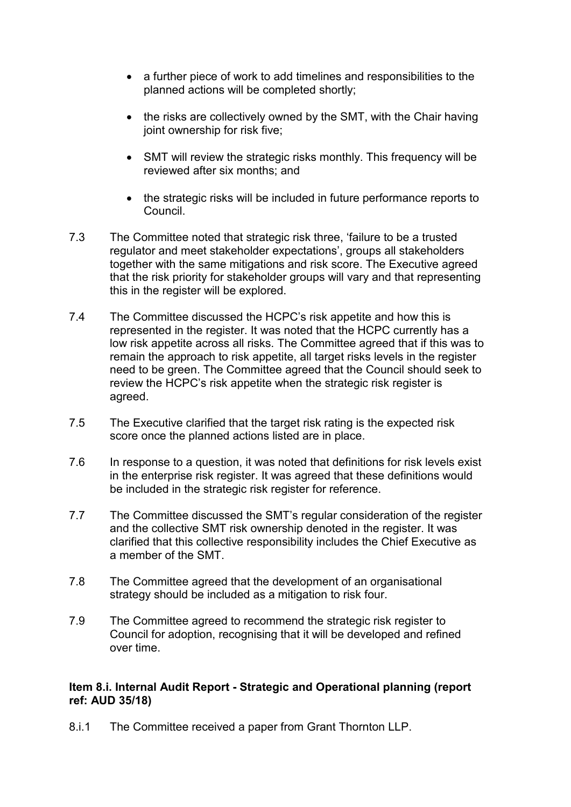- a further piece of work to add timelines and responsibilities to the planned actions will be completed shortly;
- the risks are collectively owned by the SMT, with the Chair having joint ownership for risk five;
- SMT will review the strategic risks monthly. This frequency will be reviewed after six months; and
- the strategic risks will be included in future performance reports to **Council**
- 7.3 The Committee noted that strategic risk three, 'failure to be a trusted regulator and meet stakeholder expectations', groups all stakeholders together with the same mitigations and risk score. The Executive agreed that the risk priority for stakeholder groups will vary and that representing this in the register will be explored.
- 7.4 The Committee discussed the HCPC's risk appetite and how this is represented in the register. It was noted that the HCPC currently has a low risk appetite across all risks. The Committee agreed that if this was to remain the approach to risk appetite, all target risks levels in the register need to be green. The Committee agreed that the Council should seek to review the HCPC's risk appetite when the strategic risk register is agreed.
- 7.5 The Executive clarified that the target risk rating is the expected risk score once the planned actions listed are in place.
- 7.6 In response to a question, it was noted that definitions for risk levels exist in the enterprise risk register. It was agreed that these definitions would be included in the strategic risk register for reference.
- 7.7 The Committee discussed the SMT's regular consideration of the register and the collective SMT risk ownership denoted in the register. It was clarified that this collective responsibility includes the Chief Executive as a member of the SMT.
- 7.8 The Committee agreed that the development of an organisational strategy should be included as a mitigation to risk four.
- 7.9 The Committee agreed to recommend the strategic risk register to Council for adoption, recognising that it will be developed and refined over time.

#### **Item 8.i. Internal Audit Report - Strategic and Operational planning (report ref: AUD 35/18)**

8.i.1 The Committee received a paper from Grant Thornton LLP.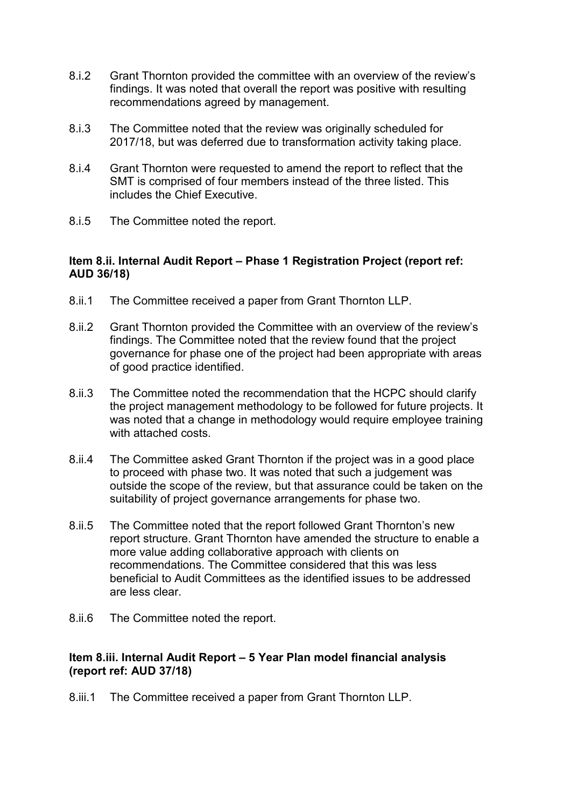- 8.i.2 Grant Thornton provided the committee with an overview of the review's findings. It was noted that overall the report was positive with resulting recommendations agreed by management.
- 8.i.3 The Committee noted that the review was originally scheduled for 2017/18, but was deferred due to transformation activity taking place.
- 8.i.4 Grant Thornton were requested to amend the report to reflect that the SMT is comprised of four members instead of the three listed. This includes the Chief Executive.
- 8.i.5 The Committee noted the report.

#### **Item 8.ii. Internal Audit Report – Phase 1 Registration Project (report ref: AUD 36/18)**

- 8.ii.1 The Committee received a paper from Grant Thornton LLP.
- 8.ii.2 Grant Thornton provided the Committee with an overview of the review's findings. The Committee noted that the review found that the project governance for phase one of the project had been appropriate with areas of good practice identified.
- 8.ii.3 The Committee noted the recommendation that the HCPC should clarify the project management methodology to be followed for future projects. It was noted that a change in methodology would require employee training with attached costs.
- 8.ii.4 The Committee asked Grant Thornton if the project was in a good place to proceed with phase two. It was noted that such a judgement was outside the scope of the review, but that assurance could be taken on the suitability of project governance arrangements for phase two.
- 8.ii.5 The Committee noted that the report followed Grant Thornton's new report structure. Grant Thornton have amended the structure to enable a more value adding collaborative approach with clients on recommendations. The Committee considered that this was less beneficial to Audit Committees as the identified issues to be addressed are less clear.
- 8.ii.6 The Committee noted the report.

#### **Item 8.iii. Internal Audit Report – 5 Year Plan model financial analysis (report ref: AUD 37/18)**

8.iii.1 The Committee received a paper from Grant Thornton LLP.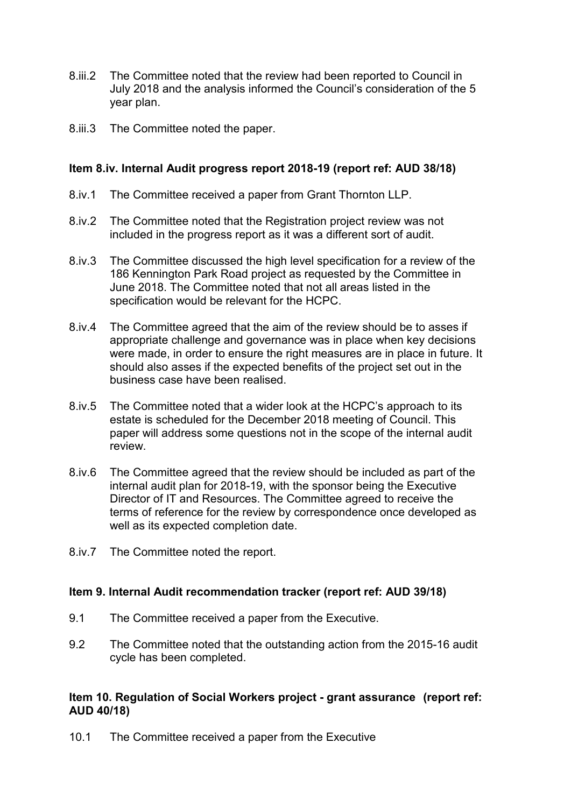- 8.iii.2 The Committee noted that the review had been reported to Council in July 2018 and the analysis informed the Council's consideration of the 5 year plan.
- 8.iii.3 The Committee noted the paper.

#### **Item 8.iv. Internal Audit progress report 2018-19 (report ref: AUD 38/18)**

- 8.iv.1 The Committee received a paper from Grant Thornton LLP.
- 8.iv.2 The Committee noted that the Registration project review was not included in the progress report as it was a different sort of audit.
- 8.iv.3 The Committee discussed the high level specification for a review of the 186 Kennington Park Road project as requested by the Committee in June 2018. The Committee noted that not all areas listed in the specification would be relevant for the HCPC.
- 8.iv.4 The Committee agreed that the aim of the review should be to asses if appropriate challenge and governance was in place when key decisions were made, in order to ensure the right measures are in place in future. It should also asses if the expected benefits of the project set out in the business case have been realised.
- 8.iv.5 The Committee noted that a wider look at the HCPC's approach to its estate is scheduled for the December 2018 meeting of Council. This paper will address some questions not in the scope of the internal audit review.
- 8.iv.6 The Committee agreed that the review should be included as part of the internal audit plan for 2018-19, with the sponsor being the Executive Director of IT and Resources. The Committee agreed to receive the terms of reference for the review by correspondence once developed as well as its expected completion date.
- 8.iv.7 The Committee noted the report.

#### **Item 9. Internal Audit recommendation tracker (report ref: AUD 39/18)**

- 9.1 The Committee received a paper from the Executive.
- 9.2 The Committee noted that the outstanding action from the 2015-16 audit cycle has been completed.

#### **Item 10. Regulation of Social Workers project - grant assurance (report ref: AUD 40/18)**

10.1 The Committee received a paper from the Executive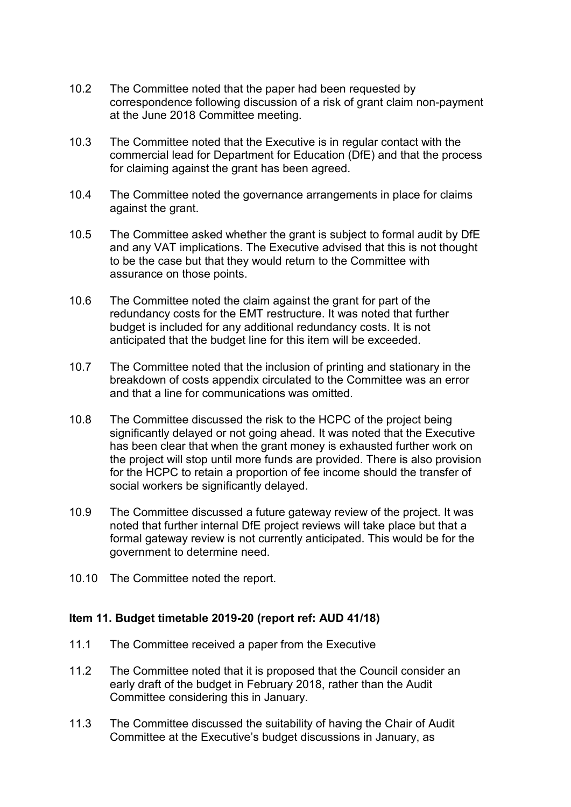- 10.2 The Committee noted that the paper had been requested by correspondence following discussion of a risk of grant claim non-payment at the June 2018 Committee meeting.
- 10.3 The Committee noted that the Executive is in regular contact with the commercial lead for Department for Education (DfE) and that the process for claiming against the grant has been agreed.
- 10.4 The Committee noted the governance arrangements in place for claims against the grant.
- 10.5 The Committee asked whether the grant is subject to formal audit by DfE and any VAT implications. The Executive advised that this is not thought to be the case but that they would return to the Committee with assurance on those points.
- 10.6 The Committee noted the claim against the grant for part of the redundancy costs for the EMT restructure. It was noted that further budget is included for any additional redundancy costs. It is not anticipated that the budget line for this item will be exceeded.
- 10.7 The Committee noted that the inclusion of printing and stationary in the breakdown of costs appendix circulated to the Committee was an error and that a line for communications was omitted.
- 10.8 The Committee discussed the risk to the HCPC of the project being significantly delayed or not going ahead. It was noted that the Executive has been clear that when the grant money is exhausted further work on the project will stop until more funds are provided. There is also provision for the HCPC to retain a proportion of fee income should the transfer of social workers be significantly delayed.
- 10.9 The Committee discussed a future gateway review of the project. It was noted that further internal DfE project reviews will take place but that a formal gateway review is not currently anticipated. This would be for the government to determine need.
- 10.10 The Committee noted the report.

#### **Item 11. Budget timetable 2019-20 (report ref: AUD 41/18)**

- 11.1 The Committee received a paper from the Executive
- 11.2 The Committee noted that it is proposed that the Council consider an early draft of the budget in February 2018, rather than the Audit Committee considering this in January.
- 11.3 The Committee discussed the suitability of having the Chair of Audit Committee at the Executive's budget discussions in January, as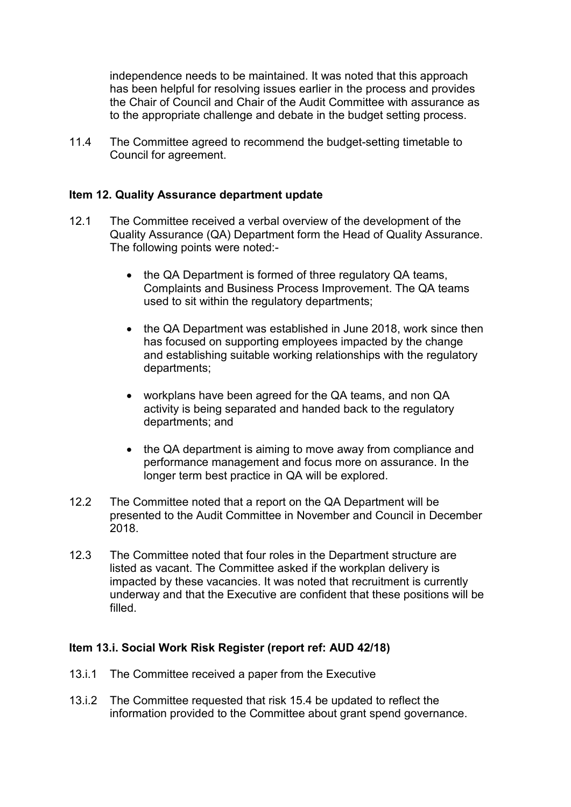independence needs to be maintained. It was noted that this approach has been helpful for resolving issues earlier in the process and provides the Chair of Council and Chair of the Audit Committee with assurance as to the appropriate challenge and debate in the budget setting process.

11.4 The Committee agreed to recommend the budget-setting timetable to Council for agreement.

#### **Item 12. Quality Assurance department update**

- 12.1 The Committee received a verbal overview of the development of the Quality Assurance (QA) Department form the Head of Quality Assurance. The following points were noted:-
	- the QA Department is formed of three regulatory QA teams, Complaints and Business Process Improvement. The QA teams used to sit within the regulatory departments;
	- the QA Department was established in June 2018, work since then has focused on supporting employees impacted by the change and establishing suitable working relationships with the regulatory departments;
	- workplans have been agreed for the QA teams, and non QA activity is being separated and handed back to the regulatory departments; and
	- the QA department is aiming to move away from compliance and performance management and focus more on assurance. In the longer term best practice in QA will be explored.
- 12.2 The Committee noted that a report on the QA Department will be presented to the Audit Committee in November and Council in December 2018.
- 12.3 The Committee noted that four roles in the Department structure are listed as vacant. The Committee asked if the workplan delivery is impacted by these vacancies. It was noted that recruitment is currently underway and that the Executive are confident that these positions will be filled.

#### **Item 13.i. Social Work Risk Register (report ref: AUD 42/18)**

- 13.i.1 The Committee received a paper from the Executive
- 13.i.2 The Committee requested that risk 15.4 be updated to reflect the information provided to the Committee about grant spend governance.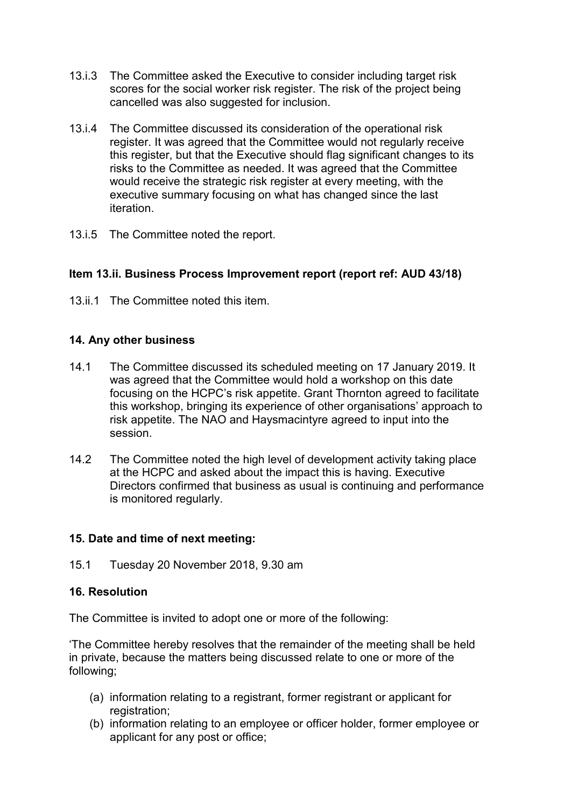- 13.i.3 The Committee asked the Executive to consider including target risk scores for the social worker risk register. The risk of the project being cancelled was also suggested for inclusion.
- 13.i.4 The Committee discussed its consideration of the operational risk register. It was agreed that the Committee would not regularly receive this register, but that the Executive should flag significant changes to its risks to the Committee as needed. It was agreed that the Committee would receive the strategic risk register at every meeting, with the executive summary focusing on what has changed since the last iteration.
- 13.i.5 The Committee noted the report.

# **Item 13.ii. Business Process Improvement report (report ref: AUD 43/18)**

13. ii.1 The Committee noted this item.

# **14. Any other business**

- 14.1 The Committee discussed its scheduled meeting on 17 January 2019. It was agreed that the Committee would hold a workshop on this date focusing on the HCPC's risk appetite. Grant Thornton agreed to facilitate this workshop, bringing its experience of other organisations' approach to risk appetite. The NAO and Haysmacintyre agreed to input into the session.
- 14.2 The Committee noted the high level of development activity taking place at the HCPC and asked about the impact this is having. Executive Directors confirmed that business as usual is continuing and performance is monitored regularly.

# **15. Date and time of next meeting:**

15.1 Tuesday 20 November 2018, 9.30 am

# **16. Resolution**

The Committee is invited to adopt one or more of the following:

'The Committee hereby resolves that the remainder of the meeting shall be held in private, because the matters being discussed relate to one or more of the following;

- (a) information relating to a registrant, former registrant or applicant for registration:
- (b) information relating to an employee or officer holder, former employee or applicant for any post or office;